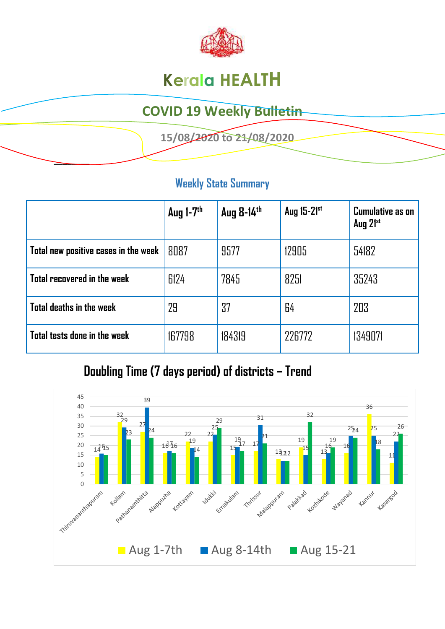

# **Kerala HEALTH**

## **COVID 19 Weekly Bulletin**

 **15/08/2020 to 21/08/2020** 

#### **Weekly State Summary**

**\_\_\_\_\_\_\_\_** 

|                                      | Aug $1-7$ <sup>th</sup> | Aug 8-14th | Aug 15-21st | <b>Cumulative as on</b><br>Aug 21st |
|--------------------------------------|-------------------------|------------|-------------|-------------------------------------|
| Total new positive cases in the week | 8087                    | 9577       | 12905       | 54182                               |
| Total recovered in the week          | 6124                    | 7845       | 8251        | 35243                               |
| Total deaths in the week             | 29                      | 37         | 64          | 203                                 |
| Total tests done in the week         | 167798                  | 184319     | 226772      | 1349071                             |

### **Doubling Time (7 days period) of districts – Trend**

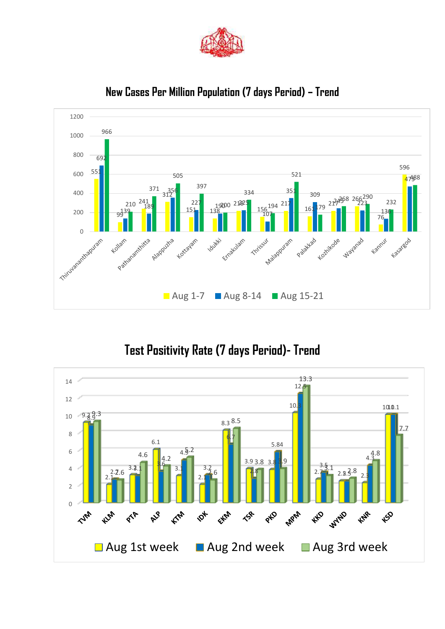



#### **New Cases Per Million Population (7 days Period) – Trend**

### **Test Positivity Rate (7 days Period)- Trend**